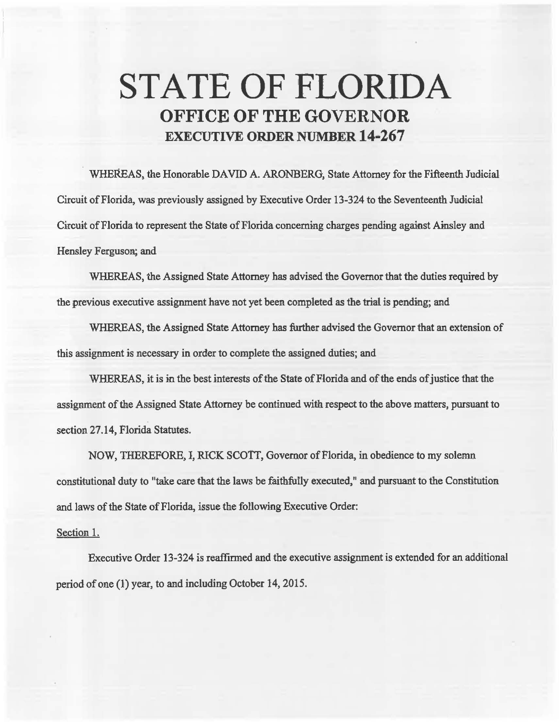## **STATE OF FLORIDA OFFICE OF THE GOVERNOR EXECUTIVE ORDER NUMBER 14-267**

WHEREAS, the Honorable DAVID A. ARONBERG, State Attorney for the Fifteenth Judicial Circuit of Florida, was previously assigned by Executive Order 13-324 to the Seventeenth Judicial Circuit of Florida to represent the State of Florida concerning charges pending against Ainsley and Hensley Ferguson; and

WHEREAS, the Assigned State Attorney has advised the Governor that the duties required by the previous executive assignment have not yet been completed as the trial is pending; and

WHEREAS, the Assigned State Attorney has further advised the Governor that an extension of this assignment is necessary in order to complete the assigned duties; and

WHEREAS, it is in the best interests of the State of Florida and of the ends of justice that the assignment of the Assigned State Attorney be continued with respect to the above matters, pursuant to section 27.14, Florida Statutes.

NOW, THEREFORE, l, RICK SCOTT, Governor of Florida, in obedience to my solemn constitutional duty to "take care that the laws be faithfully executed," and pursuant to the Constitution and laws of the 8tate of Florida, issue the following Executive Order:

## Section 1.

Executive Order 13-324 is reaffirmed and the executive assignment is extended for an additional period of one (1) year, to and including October 14, 2015.